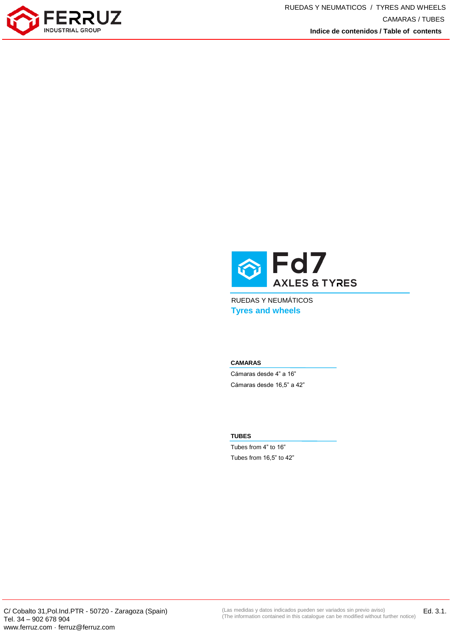



RUEDAS Y NEUMÁTICOS **Tyres and wheels**

## **CAMARAS**

Cámaras desde 4" a 16" Cámaras desde 16,5" a 42"

## **TUBES**

Tubes from 4" to 16" Tubes from 16,5" to 42"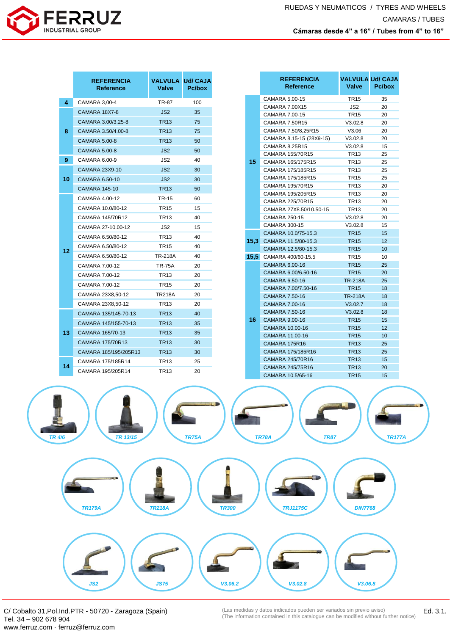

|        | <b>REFERENCIA</b><br><b>Reference</b> | <b>VALVULA Ud/ CAJA</b><br><b>Valve</b> | Pc/box       |              |                  | <b>REFERENCIA</b><br><b>Reference</b>           | <b>VALVULA Ud/ CAJA</b><br><b>Valve</b> | Pc/box        |
|--------|---------------------------------------|-----------------------------------------|--------------|--------------|------------------|-------------------------------------------------|-----------------------------------------|---------------|
| 4      | CAMARA 3,00-4                         | <b>TR-87</b>                            | 100          |              |                  | CAMARA 5.00-15                                  | <b>TR15</b>                             | 35            |
|        | CAMARA 18X7-8                         | JS <sub>2</sub>                         | 35           |              |                  | CAMARA 7.00X15                                  | JS <sub>2</sub>                         | 20            |
| 8      | CAMARA 3.00/3.25-8                    | <b>TR13</b>                             | 75           |              |                  | CAMARA 7.00-15                                  | <b>TR15</b>                             | 20            |
|        |                                       |                                         |              |              |                  | <b>CAMARA 7.50R15</b>                           | V3.02.8                                 | 20<br>20      |
|        | CAMARA 3.50/4.00-8                    | <b>TR13</b>                             | 75           |              |                  | CAMARA 7.50/8,25R15<br>CAMARA 8.15-15 (28X9-15) | V3.06<br>V3.02.8                        | 20            |
|        | <b>CAMARA 5.00-8</b>                  | <b>TR13</b>                             | 50           |              |                  | <b>CAMARA 8.25R15</b>                           | V3.02.8                                 | 15            |
|        | <b>CAMARA 5.00-8</b>                  | JS <sub>2</sub>                         | 50           |              | CAMARA 155/70R15 | <b>TR13</b>                                     | 25                                      |               |
| 9      | CAMARA 6.00-9                         | JS2                                     | 40           |              | 15               | CAMARA 165/175R15                               | TR <sub>13</sub>                        | 25            |
|        | CAMARA 23X9-10                        | JS <sub>2</sub>                         | 30           |              |                  | CAMARA 175/185R15                               | <b>TR13</b>                             | 25            |
| 10     | CAMARA 6.50-10                        | JS <sub>2</sub>                         | 30           |              |                  | CAMARA 175/185R15                               | <b>TR15</b>                             | 25            |
|        | <b>CAMARA 145-10</b>                  | <b>TR13</b>                             | 50           |              |                  | CAMARA 195/70R15                                | <b>TR13</b>                             | 20            |
|        | CAMARA 4.00-12                        | TR-15                                   | 60           |              |                  | CAMARA 195/205R15                               | <b>TR13</b>                             | 20            |
|        | CAMARA 10.0/80-12                     | <b>TR15</b>                             | 15           |              |                  | CAMARA 225/70R15                                | <b>TR13</b>                             | 20            |
|        |                                       |                                         |              |              |                  | CAMARA 27X8.50/10.50-15                         | <b>TR13</b>                             | 20<br>20      |
|        | CAMARA 145/70R12                      | <b>TR13</b>                             | 40           |              |                  | CAMARA 250-15<br>CAMARA 300-15                  | V3.02.8<br>V3.02.8                      | 15            |
|        | CAMARA 27-10.00-12                    | JS2                                     | 15           |              |                  | CAMARA 10.0/75-15.3                             | <b>TR15</b>                             | 15            |
|        | CAMARA 6.50/80-12                     | <b>TR13</b>                             | 40           |              |                  | <b>15,3</b> CAMARA 11.5/80-15.3                 | <b>TR15</b>                             | 12            |
| 12     | CAMARA 6.50/80-12                     | <b>TR15</b>                             | 40           |              |                  | CAMARA 12.5/80-15.3                             | <b>TR15</b>                             | 10            |
|        | CAMARA 6.50/80-12                     | <b>TR-218A</b>                          | 40           |              |                  | 15,5 CAMARA 400/60-15.5                         | <b>TR15</b>                             | 10            |
|        | CAMARA 7.00-12                        | <b>TR-75A</b>                           | 20           |              |                  | CAMARA 6.00-16                                  | <b>TR15</b>                             | 25            |
|        | CAMARA 7.00-12                        | <b>TR13</b>                             | 20           |              |                  | CAMARA 6.00/6.50-16                             | <b>TR15</b>                             | 20            |
|        | CAMARA 7.00-12                        | <b>TR15</b>                             | 20           |              |                  | CAMARA 6.50-16                                  | <b>TR-218A</b>                          | 25            |
|        | CAMARA 23X8,50-12                     | <b>TR218A</b>                           | 20           |              |                  | CAMARA 7.00/7.50-16                             | <b>TR15</b>                             | 18            |
|        | CAMARA 23X8,50-12                     | <b>TR13</b>                             | 20           |              |                  | <b>CAMARA 7.50-16</b><br>CAMARA 7.00-16         | <b>TR-218A</b><br>V3.02.7               | 18<br>18      |
|        |                                       |                                         |              |              | 16               | CAMARA 7.50-16                                  | V3.02.8                                 | 18            |
|        | CAMARA 135/145-70-13                  | <b>TR13</b>                             | 40           |              |                  | CAMARA 9.00-16                                  | <b>TR15</b>                             | 15            |
|        | CAMARA 145/155-70-13                  | <b>TR13</b>                             | 35           |              |                  | CAMARA 10.00-16                                 | <b>TR15</b>                             | 12            |
| 13     | CAMARA 165/70-13                      | <b>TR13</b>                             | 35           |              |                  | CAMARA 11.00-16                                 | <b>TR15</b>                             | 10            |
|        | CAMARA 175/70R13                      | <b>TR13</b>                             | 30           |              |                  | CAMARA 175R16                                   | <b>TR13</b>                             | 25            |
|        | CAMARA 185/195/205R13                 | <b>TR13</b>                             | 30           |              |                  | CAMARA 175/185R16                               | <b>TR13</b>                             | 25            |
|        | CAMARA 175/185R14                     | <b>TR13</b>                             | 25           |              |                  | CAMARA 245/70R16                                | <b>TR13</b>                             | 15            |
| 14     | CAMARA 195/205R14                     | <b>TR13</b>                             | 20           |              |                  | CAMARA 245/75R16<br>CAMARA 10.5/65-16           | <b>TR13</b><br><b>TR15</b>              | 20<br>15      |
| TR 4/6 | TR 13/15                              |                                         | <b>TR75A</b> |              |                  | <b>TR78A</b><br><b>TR87</b>                     |                                         | <b>TR177A</b> |
|        | <b>TR179A</b>                         | <b>TR218A</b>                           |              | <b>TR300</b> |                  | <b>TRJ1175C</b>                                 | <b>DIN7768</b>                          |               |
|        | JS2                                   | <b>JS75</b>                             |              | V3.06.2      |                  | V3.02.8                                         | V3.06.8                                 |               |

C/ Cobalto 31,Pol.Ind.PTR - 50720 - Zaragoza (Spain) Tel. 34 – 902 678 904 www.ferruz.com · ferruz@ferruz.com

Ed. 3.1. (Las medidas y datos indicados pueden ser variados sin previo aviso) (The information contained in this catalogue can be modified without further notice)